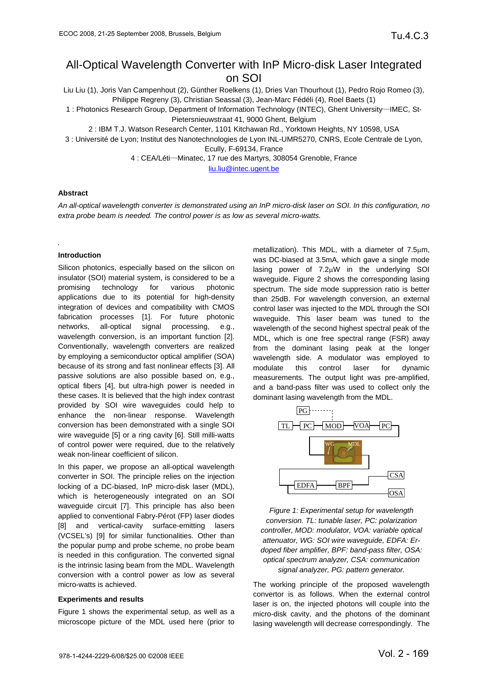# All-Optical Wavelength Converter with InP Micro-disk Laser Integrated on SOI

Liu Liu (1), Joris Van Campenhout (2), Günther Roelkens (1), Dries Van Thourhout (1), Pedro Rojo Romeo (3), Philippe Regreny (3), Christian Seassal (3), Jean-Marc Fédéli (4), Roel Baets (1)

1 : Photonics Research Group, Department of Information Technology (INTEC), Ghent University—IMEC, St-Pietersnieuwstraat 41, 9000 Ghent, Belgium

2 : IBM T.J. Watson Research Center, 1101 Kitchawan Rd., Yorktown Heights, NY 10598, USA

3 : Université de Lyon; Institut des Nanotechnologies de Lyon INL-UMR5270, CNRS, Ecole Centrale de Lyon,

Ecully, F-69134, France

4 : CEA/Léti—Minatec, 17 rue des Martyrs, 308054 Grenoble, France

liu.liu@intec.ugent.be

# **Abstract**

*An all-optical wavelength converter is demonstrated using an InP micro-disk laser on SOI. In this configuration, no extra probe beam is needed. The control power is as low as several micro-watts.* 

## **Introduction**

Silicon photonics, especially based on the silicon on insulator (SOI) material system, is considered to be a promising technology for various photonic applications due to its potential for high-density integration of devices and compatibility with CMOS fabrication processes [1]. For future photonic networks, all-optical signal processing, e.g., wavelength conversion, is an important function [2]. Conventionally, wavelength converters are realized by employing a semiconductor optical amplifier (SOA) because of its strong and fast nonlinear effects [3]. All passive solutions are also possible based on, e.g., optical fibers [4], but ultra-high power is needed in these cases. It is believed that the high index contrast provided by SOI wire waveguides could help to enhance the non-linear response. Wavelength conversion has been demonstrated with a single SOI wire waveguide [5] or a ring cavity [6]. Still milli-watts of control power were required, due to the relatively weak non-linear coefficient of silicon.

In this paper, we propose an all-optical wavelength converter in SOI. The principle relies on the injection locking of a DC-biased, InP micro-disk laser (MDL), which is heterogeneously integrated on an SOI waveguide circuit [7]. This principle has also been applied to conventional Fabry-Pérot (FP) laser diodes [8] and vertical-cavity surface-emitting lasers (VCSEL's) [9] for similar functionalities. Other than the popular pump and probe scheme, no probe beam is needed in this configuration. The converted signal is the intrinsic lasing beam from the MDL. Wavelength conversion with a control power as low as several micro-watts is achieved.

#### **Experiments and results**

Figure 1 shows the experimental setup, as well as a microscope picture of the MDL used here (prior to

metallization). This MDL, with a diameter of 7.5μm, was DC-biased at 3.5mA, which gave a single mode lasing power of 7.2μW in the underlying SOI waveguide. Figure 2 shows the corresponding lasing spectrum. The side mode suppression ratio is better than 25dB. For wavelength conversion, an external control laser was injected to the MDL through the SOI waveguide. This laser beam was tuned to the wavelength of the second highest spectral peak of the MDL, which is one free spectral range (FSR) away from the dominant lasing peak at the longer wavelength side. A modulator was employed to modulate this control laser for dynamic measurements. The output light was pre-amplified, and a band-pass filter was used to collect only the dominant lasing wavelength from the MDL.



*Figure 1: Experimental setup for wavelength conversion. TL: tunable laser, PC: polarization controller, MOD: modulator, VOA: variable optical attenuator, WG: SOI wire waveguide, EDFA: Erdoped fiber amplifier, BPF: band-pass filter, OSA: optical spectrum analyzer, CSA: communication signal analyzer, PG: pattern generator.* 

The working principle of the proposed wavelength convertor is as follows. When the external control laser is on, the injected photons will couple into the micro-disk cavity, and the photons of the dominant lasing wavelength will decrease correspondingly. The